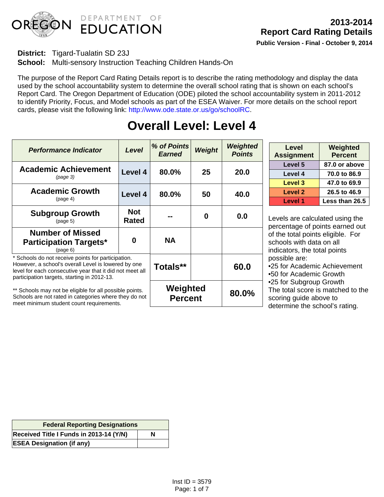

# **District:** Tigard-Tualatin SD 23J

**School:** Multi-sensory Instruction Teaching Children Hands-On

The purpose of the Report Card Rating Details report is to describe the rating methodology and display the data used by the school accountability system to determine the overall school rating that is shown on each school's Report Card. The Oregon Department of Education (ODE) piloted the school accountability system in 2011-2012 to identify Priority, Focus, and Model schools as part of the ESEA Waiver. For more details on the school report cards, please visit the following link: http://www.ode.state.or.us/go/schoolRC.

| <b>Performance Indicator</b>                                                                                                                                                                                         | <b>Level</b>               | % of Points<br><b>Earned</b> | Weight | Weighted<br><b>Points</b> |
|----------------------------------------------------------------------------------------------------------------------------------------------------------------------------------------------------------------------|----------------------------|------------------------------|--------|---------------------------|
| <b>Academic Achievement</b><br>(page 3)                                                                                                                                                                              | Level 4                    | 80.0%                        | 25     | 20.0                      |
| <b>Academic Growth</b><br>(page 4)                                                                                                                                                                                   | Level 4                    | 80.0%                        | 50     | 40.0                      |
| <b>Subgroup Growth</b><br>(page 5)                                                                                                                                                                                   | <b>Not</b><br><b>Rated</b> |                              | 0      | 0.0                       |
| <b>Number of Missed</b><br><b>Participation Targets*</b><br>(page 6)                                                                                                                                                 | 0                          | <b>NA</b>                    |        |                           |
| * Schools do not receive points for participation.<br>However, a school's overall Level is lowered by one<br>level for each consecutive year that it did not meet all<br>participation targets, starting in 2012-13. |                            | Totals**                     |        | 60.0                      |
| ** Schools may not be eligible for all possible points.<br>Schools are not rated in categories where they do not<br>meet minimum student count requirements.                                                         |                            | Weighted<br><b>Percent</b>   |        | 80.0%                     |

# **Overall Level: Level 4**

| Level<br><b>Assignment</b> | Weighted<br><b>Percent</b> |
|----------------------------|----------------------------|
| Level 5                    | 87.0 or above              |
| Level 4                    | 70.0 to 86.9               |
| Level 3                    | 47.0 to 69.9               |
| Level 2                    | 26.5 to 46.9               |
| Level 1                    | Less than 26.5             |

Levels are calculated using the percentage of points earned out of the total points eligible. For schools with data on all indicators, the total points possible are:

• 25 for Academic Achievement

• 50 for Academic Growth

• 25 for Subgroup Growth

The total score is matched to the scoring guide above to determine the school's rating.

| <b>Federal Reporting Designations</b>   |   |  |  |  |
|-----------------------------------------|---|--|--|--|
| Received Title I Funds in 2013-14 (Y/N) | N |  |  |  |
| <b>ESEA Designation (if any)</b>        |   |  |  |  |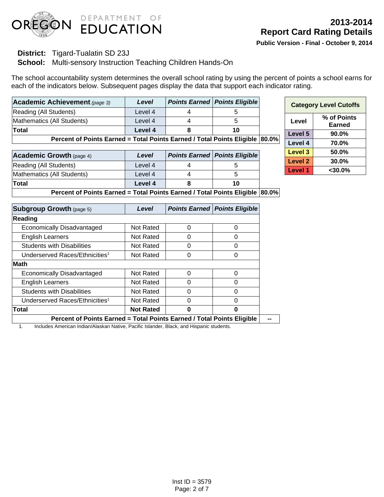

## **District:** Tigard-Tualatin SD 23J

**School:** Multi-sensory Instruction Teaching Children Hands-On

The school accountability system determines the overall school rating by using the percent of points a school earns for each of the indicators below. Subsequent pages display the data that support each indicator rating.

| Academic Achievement (page 3)                                                | Level   |  | <b>Points Earned   Points Eligible</b> |  |  |
|------------------------------------------------------------------------------|---------|--|----------------------------------------|--|--|
| Reading (All Students)                                                       | Level 4 |  |                                        |  |  |
| Mathematics (All Students)                                                   | Level 4 |  |                                        |  |  |
| Total                                                                        | Level 4 |  | 10                                     |  |  |
| Percent of Points Earned = Total Points Earned / Total Points Eligible 80.0% |         |  |                                        |  |  |

| <b>Academic Growth (page 4)</b> | Level   | <b>Points Earned   Points Eligible</b> |
|---------------------------------|---------|----------------------------------------|
| Reading (All Students)          | Level 4 |                                        |
| Mathematics (All Students)      | Level 4 |                                        |
| Total                           | Level 4 | 10                                     |

| <b>Category Level Cutoffs</b> |                       |  |  |
|-------------------------------|-----------------------|--|--|
| Level                         | % of Points<br>Earned |  |  |
| Level 5                       | $90.0\%$              |  |  |
| Level 4                       | 70.0%                 |  |  |
| Level 3                       | 50.0%                 |  |  |
| <b>Level 2</b>                | 30.0%                 |  |  |
| <b>Level 1</b>                | <30.0%                |  |  |

**Percent of Points Earned = Total Points Earned / Total Points Eligible 80.0%** 

| <b>Subgroup Growth (page 5)</b>                                               | Level            |   | <b>Points Earned   Points Eligible</b> |
|-------------------------------------------------------------------------------|------------------|---|----------------------------------------|
| Reading                                                                       |                  |   |                                        |
| Economically Disadvantaged                                                    | Not Rated        | 0 | 0                                      |
| <b>English Learners</b>                                                       | Not Rated        | 0 | 0                                      |
| <b>Students with Disabilities</b>                                             | <b>Not Rated</b> | 0 | O                                      |
| Underserved Races/Ethnicities <sup>1</sup>                                    | Not Rated        | 0 | ი                                      |
| <b>Math</b>                                                                   |                  |   |                                        |
| Economically Disadvantaged                                                    | Not Rated        | Ⴖ |                                        |
| <b>English Learners</b>                                                       | Not Rated        | Ω |                                        |
| <b>Students with Disabilities</b>                                             | Not Rated        | 0 |                                        |
| Underserved Races/Ethnicities <sup>1</sup>                                    | Not Rated        | 0 |                                        |
| Total                                                                         | <b>Not Rated</b> | 0 | 0                                      |
| <b>Dorgant of Dointe Fornad - Total Dointe Fornad / Total Dointe Fligible</b> |                  |   |                                        |

**Percent of Points Earned = Total Points Earned / Total Points Eligible | --**

1. Includes American Indian/Alaskan Native, Pacific Islander, Black, and Hispanic students.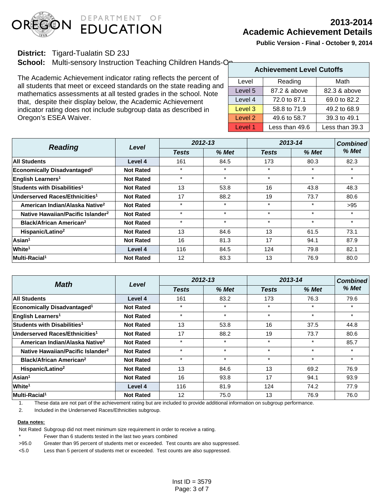

# **2013-2014 Academic Achievement Details**

**Public Version - Final - October 9, 2014**

## **District:** Tigard-Tualatin SD 23J

**School:** Multi-sensory Instruction Teaching Children Hands-One

The Academic Achievement indicator rating reflects the percent of all students that meet or exceed standards on the state reading and mathematics assessments at all tested grades in the school. Note that, despite their display below, the Academic Achievement indicator rating does not include subgroup data as described in Oregon's ESEA Waiver.

|         | <b>Achievement Level Cutoffs</b> |                |  |  |  |  |
|---------|----------------------------------|----------------|--|--|--|--|
| Level   | Reading                          | Math           |  |  |  |  |
| Level 5 | 87.2 & above                     | 82.3 & above   |  |  |  |  |
| Level 4 | 72.0 to 87.1                     | 69.0 to 82.2   |  |  |  |  |
| Level 3 | 58.8 to 71.9                     | 49.2 to 68.9   |  |  |  |  |
| Level 2 | 49.6 to 58.7                     | 39.3 to 49.1   |  |  |  |  |
| Level 1 | Less than 49.6                   | Less than 39.3 |  |  |  |  |

| <b>Reading</b>                                | Level            |              | $2012 - 13$ |              | 2013-14 |         |
|-----------------------------------------------|------------------|--------------|-------------|--------------|---------|---------|
|                                               |                  | <b>Tests</b> | $%$ Met     | <b>Tests</b> | % Met   | % Met   |
| <b>All Students</b>                           | Level 4          | 161          | 84.5        | 173          | 80.3    | 82.3    |
| <b>Economically Disadvantaged<sup>1</sup></b> | <b>Not Rated</b> | $\star$      | $\star$     | $\star$      | $\star$ | $\star$ |
| <b>English Learners<sup>1</sup></b>           | <b>Not Rated</b> | $\star$      | $\star$     | $\star$      | $\star$ | $\star$ |
| Students with Disabilities <sup>1</sup>       | <b>Not Rated</b> | 13           | 53.8        | 16           | 43.8    | 48.3    |
| Underserved Races/Ethnicities <sup>1</sup>    | <b>Not Rated</b> | 17           | 88.2        | 19           | 73.7    | 80.6    |
| American Indian/Alaska Native <sup>2</sup>    | <b>Not Rated</b> | $\star$      | $\star$     | $\star$      | $\star$ | >95     |
| Native Hawaiian/Pacific Islander <sup>2</sup> | <b>Not Rated</b> | $\star$      | $\star$     | $\star$      | $\star$ | $\star$ |
| <b>Black/African American<sup>2</sup></b>     | <b>Not Rated</b> | $\star$      | $\star$     | $\star$      | $\star$ | $\star$ |
| Hispanic/Latino <sup>2</sup>                  | <b>Not Rated</b> | 13           | 84.6        | 13           | 61.5    | 73.1    |
| Asian <sup>1</sup>                            | <b>Not Rated</b> | 16           | 81.3        | 17           | 94.1    | 87.9    |
| White <sup>1</sup>                            | Level 4          | 116          | 84.5        | 124          | 79.8    | 82.1    |
| Multi-Racial <sup>1</sup>                     | <b>Not Rated</b> | 12           | 83.3        | 13           | 76.9    | 80.0    |

| <b>Math</b>                                   | Level            | 2012-13      |         | 2013-14      | <b>Combined</b> |         |
|-----------------------------------------------|------------------|--------------|---------|--------------|-----------------|---------|
|                                               |                  | <b>Tests</b> | % Met   | <b>Tests</b> | % Met           | % Met   |
| <b>All Students</b>                           | Level 4          | 161          | 83.2    | 173          | 76.3            | 79.6    |
| Economically Disadvantaged <sup>1</sup>       | <b>Not Rated</b> | $\star$      | $\star$ | $\star$      | $\star$         | $\star$ |
| <b>English Learners<sup>1</sup></b>           | <b>Not Rated</b> | $\star$      | $\star$ | $\star$      | $\star$         | $\star$ |
| Students with Disabilities <sup>1</sup>       | <b>Not Rated</b> | 13           | 53.8    | 16           | 37.5            | 44.8    |
| Underserved Races/Ethnicities <sup>1</sup>    | <b>Not Rated</b> | 17           | 88.2    | 19           | 73.7            | 80.6    |
| American Indian/Alaska Native <sup>2</sup>    | <b>Not Rated</b> | $\star$      | $\star$ | $\star$      | $\star$         | 85.7    |
| Native Hawaiian/Pacific Islander <sup>2</sup> | <b>Not Rated</b> | $\star$      | $\star$ | $\star$      | $\star$         | ÷       |
| <b>Black/African American<sup>2</sup></b>     | <b>Not Rated</b> | $\star$      | $\star$ | $\star$      | $\star$         | $\star$ |
| Hispanic/Latino <sup>2</sup>                  | <b>Not Rated</b> | 13           | 84.6    | 13           | 69.2            | 76.9    |
| Asian <sup>1</sup>                            | <b>Not Rated</b> | 16           | 93.8    | 17           | 94.1            | 93.9    |
| White <sup>1</sup>                            | Level 4          | 116          | 81.9    | 124          | 74.2            | 77.9    |
| Multi-Racial <sup>1</sup>                     | <b>Not Rated</b> | 12           | 75.0    | 13           | 76.9            | 76.0    |

1. These data are not part of the achievement rating but are included to provide additional information on subgroup performance.

2. Included in the Underserved Races/Ethnicities subgroup.

#### **Data notes:**

Not Rated Subgroup did not meet minimum size requirement in order to receive a rating.

Fewer than 6 students tested in the last two years combined

>95.0 Greater than 95 percent of students met or exceeded. Test counts are also suppressed.

<5.0 Less than 5 percent of students met or exceeded. Test counts are also suppressed.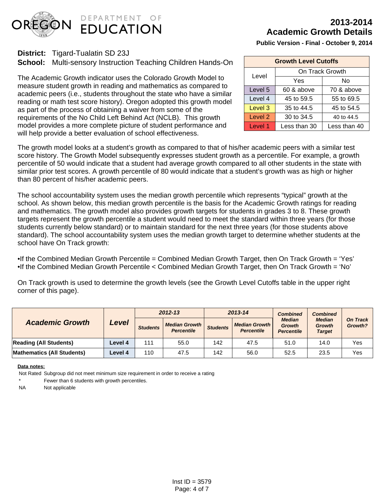

# **2013-2014 Academic Growth Details**

**Public Version - Final - October 9, 2014**

| <b>Growth Level Cutoffs</b> |                 |              |  |  |  |
|-----------------------------|-----------------|--------------|--|--|--|
| Level                       | On Track Growth |              |  |  |  |
| Yes                         |                 | No           |  |  |  |
| Level 5                     | 60 & above      | 70 & above   |  |  |  |
| Level 4                     | 45 to 59.5      | 55 to 69.5   |  |  |  |
| Level 3                     | 35 to 44.5      | 45 to 54.5   |  |  |  |
| Level 2                     | 30 to 34.5      | 40 to 44.5   |  |  |  |
| Level 1                     | Less than 30    | Less than 40 |  |  |  |

**District:** Tigard-Tualatin SD 23J

**School:** Multi-sensory Instruction Teaching Children Hands-On

The Academic Growth indicator uses the Colorado Growth Model to measure student growth in reading and mathematics as compared to academic peers (i.e., students throughout the state who have a similar reading or math test score history). Oregon adopted this growth model as part of the process of obtaining a waiver from some of the requirements of the No Child Left Behind Act (NCLB). This growth model provides a more complete picture of student performance and will help provide a better evaluation of school effectiveness.

The growth model looks at a student's growth as compared to that of his/her academic peers with a similar test score history. The Growth Model subsequently expresses student growth as a percentile. For example, a growth percentile of 50 would indicate that a student had average growth compared to all other students in the state with similar prior test scores. A growth percentile of 80 would indicate that a student's growth was as high or higher than 80 percent of his/her academic peers.

The school accountability system uses the median growth percentile which represents "typical" growth at the school. As shown below, this median growth percentile is the basis for the Academic Growth ratings for reading and mathematics. The growth model also provides growth targets for students in grades 3 to 8. These growth targets represent the growth percentile a student would need to meet the standard within three years (for those students currently below standard) or to maintain standard for the next three years (for those students above standard). The school accountability system uses the median growth target to determine whether students at the school have On Track growth:

- If the Combined Median Growth Percentile = Combined Median Growth Target, then On Track Growth = 'Yes'
- If the Combined Median Growth Percentile < Combined Median Growth Target, then On Track Growth = 'No'

On Track growth is used to determine the growth levels (see the Growth Level Cutoffs table in the upper right corner of this page).

|                                   |         | 2012-13         |                                           | 2013-14         |                                             | <b>Combined</b>                                                                                 | <b>Combined</b>            |     |
|-----------------------------------|---------|-----------------|-------------------------------------------|-----------------|---------------------------------------------|-------------------------------------------------------------------------------------------------|----------------------------|-----|
| <b>Academic Growth</b>            | Level   | <b>Students</b> | <b>Median Growth</b><br><b>Percentile</b> | <b>Students</b> | <b>Median Growth  </b><br><b>Percentile</b> | <b>Median</b><br><b>Median</b><br><b>Growth</b><br>Growth<br><b>Target</b><br><b>Percentile</b> | <b>On Track</b><br>Growth? |     |
| <b>Reading (All Students)</b>     | Level 4 | 111             | 55.0                                      | 142             | 47.5                                        | 51.0                                                                                            | 14.0                       | Yes |
| <b>Mathematics (All Students)</b> | Level 4 | 110             | 47.5                                      | 142             | 56.0                                        | 52.5                                                                                            | 23.5                       | Yes |

#### **Data notes:**

Not Rated Subgroup did not meet minimum size requirement in order to receive a rating

Fewer than 6 students with growth percentiles.

NA Not applicable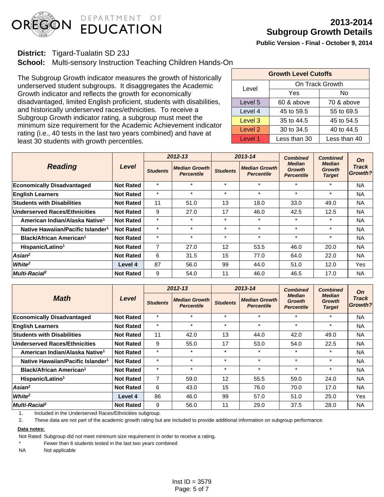

**District:** Tigard-Tualatin SD 23J

**School:** Multi-sensory Instruction Teaching Children Hands-On

The Subgroup Growth indicator measures the growth of historically underserved student subgroups. It disaggregates the Academic Growth indicator and reflects the growth for economically disadvantaged, limited English proficient, students with disabilities, and historically underserved races/ethnicities. To receive a Subgroup Growth indicator rating, a subgroup must meet the minimum size requirement for the Academic Achievement indicator rating (i.e., 40 tests in the last two years combined) and have at least 30 students with growth percentiles.

| <b>Growth Level Cutoffs</b> |                 |              |  |  |  |  |  |  |
|-----------------------------|-----------------|--------------|--|--|--|--|--|--|
| Level                       | On Track Growth |              |  |  |  |  |  |  |
|                             | Yes             | No           |  |  |  |  |  |  |
| Level 5                     | 60 & above      | 70 & above   |  |  |  |  |  |  |
| Level 4                     | 45 to 59.5      | 55 to 69.5   |  |  |  |  |  |  |
| Level 3                     | 35 to 44.5      | 45 to 54.5   |  |  |  |  |  |  |
| Level 2                     | 30 to 34.5      | 40 to 44.5   |  |  |  |  |  |  |
| Level 1                     | Less than 30    | Less than 40 |  |  |  |  |  |  |

|                                               | Level            |                 | $2012 - 13$                               |                 | 2013-14                                   | <b>Combined</b>                                     | <b>Combined</b>                                 | On<br>Track<br>Growth? |
|-----------------------------------------------|------------------|-----------------|-------------------------------------------|-----------------|-------------------------------------------|-----------------------------------------------------|-------------------------------------------------|------------------------|
| <b>Reading</b>                                |                  | <b>Students</b> | <b>Median Growth</b><br><b>Percentile</b> | <b>Students</b> | <b>Median Growth</b><br><b>Percentile</b> | <b>Median</b><br><b>Growth</b><br><b>Percentile</b> | <b>Median</b><br><b>Growth</b><br><b>Target</b> |                        |
| <b>Economically Disadvantaged</b>             | <b>Not Rated</b> | $\star$         | $\star$                                   | $\star$         | $\star$                                   | $\star$                                             | $\star$                                         | <b>NA</b>              |
| <b>English Learners</b>                       | <b>Not Rated</b> | $\star$         | $\star$                                   | $\star$         | $\star$                                   | $\star$                                             | $\star$                                         | <b>NA</b>              |
| <b>Students with Disabilities</b>             | <b>Not Rated</b> | 11              | 51.0                                      | 13              | 18.0                                      | 33.0                                                | 49.0                                            | <b>NA</b>              |
| <b>Underserved Races/Ethnicities</b>          | <b>Not Rated</b> | 9               | 27.0                                      | 17              | 46.0                                      | 42.5                                                | 12.5                                            | <b>NA</b>              |
| American Indian/Alaska Native <sup>1</sup>    | <b>Not Rated</b> | $\star$         | $\star$                                   | $\star$         | $\star$                                   | $\star$                                             | $\star$                                         | NA                     |
| Native Hawaiian/Pacific Islander <sup>1</sup> | <b>Not Rated</b> | $\star$         | $\star$                                   | $\star$         | $\star$                                   | $\star$                                             | $\star$                                         | <b>NA</b>              |
| <b>Black/African American<sup>1</sup></b>     | <b>Not Rated</b> | $\star$         | $\star$                                   | $\star$         | $\star$                                   | $\star$                                             | $\star$                                         | <b>NA</b>              |
| Hispanic/Latino <sup>1</sup>                  | <b>Not Rated</b> | $\overline{7}$  | 27.0                                      | 12              | 53.5                                      | 46.0                                                | 20.0                                            | <b>NA</b>              |
| $Asian^2$                                     | <b>Not Rated</b> | 6               | 31.5                                      | 15              | 77.0                                      | 64.0                                                | 22.0                                            | <b>NA</b>              |
| White <sup>2</sup>                            | Level 4          | 87              | 56.0                                      | 99              | 44.0                                      | 51.0                                                | 12.0                                            | Yes                    |
| Multi-Racia <sub>P</sub>                      | <b>Not Rated</b> | 9               | 54.0                                      | 11              | 46.0                                      | 46.5                                                | 17.0                                            | NA                     |

| <b>Math</b>                                   | Level            |                 | $2012 - 13$                               |                 | 2013-14                                   | <b>Combined</b>                                     | <b>Combined</b>                                 | On               |
|-----------------------------------------------|------------------|-----------------|-------------------------------------------|-----------------|-------------------------------------------|-----------------------------------------------------|-------------------------------------------------|------------------|
|                                               |                  | <b>Students</b> | <b>Median Growth</b><br><b>Percentile</b> | <b>Students</b> | <b>Median Growth</b><br><b>Percentile</b> | <b>Median</b><br><b>Growth</b><br><b>Percentile</b> | <b>Median</b><br><b>Growth</b><br><b>Target</b> | Track<br>Growth? |
| <b>Economically Disadvantaged</b>             | <b>Not Rated</b> | $\star$         | $\star$                                   | $\star$         | $\star$                                   | $\star$                                             | $\star$                                         | <b>NA</b>        |
| <b>English Learners</b>                       | <b>Not Rated</b> | $\star$         | $\star$                                   | $\star$         | $\star$                                   | $\star$                                             | $\star$                                         | <b>NA</b>        |
| <b>Students with Disabilities</b>             | <b>Not Rated</b> | 11              | 42.0                                      | 13              | 44.0                                      | 42.0                                                | 49.0                                            | <b>NA</b>        |
| <b>Underserved Races/Ethnicities</b>          | <b>Not Rated</b> | 9               | 55.0                                      | 17              | 53.0                                      | 54.0                                                | 22.5                                            | <b>NA</b>        |
| American Indian/Alaska Native <sup>1</sup>    | <b>Not Rated</b> | $\star$         | $\star$                                   | $\star$         | $\star$                                   | $\star$                                             | $\star$                                         | <b>NA</b>        |
| Native Hawaiian/Pacific Islander <sup>1</sup> | <b>Not Rated</b> | $\star$         | $\star$                                   | $\star$         | $\star$                                   | $\star$                                             | $\star$                                         | <b>NA</b>        |
| Black/African American <sup>1</sup>           | <b>Not Rated</b> | $\star$         | $\star$                                   | $\star$         | $\star$                                   | $\star$                                             | $\star$                                         | <b>NA</b>        |
| Hispanic/Latino <sup>1</sup>                  | <b>Not Rated</b> | $\overline{7}$  | 59.0                                      | 12              | 55.5                                      | 59.0                                                | 24.0                                            | <b>NA</b>        |
| $Asian^2$                                     | <b>Not Rated</b> | 6               | 43.0                                      | 15              | 76.0                                      | 70.0                                                | 17.0                                            | <b>NA</b>        |
| White <sup>2</sup>                            | Level 4          | 86              | 46.0                                      | 99              | 57.0                                      | 51.0                                                | 25.0                                            | Yes              |
| Multi-Racial <sup>2</sup>                     | <b>Not Rated</b> | 9               | 56.0                                      | 11              | 29.0                                      | 37.5                                                | 28.0                                            | <b>NA</b>        |

1. Included in the Underserved Races/Ethnicities subgroup.

2. These data are not part of the academic growth rating but are included to provide additional information on subgroup performance.

#### **Data notes:**

Not Rated Subgroup did not meet minimum size requirement in order to receive a rating.

Fewer than 6 students tested in the last two years combined

NA Not applicable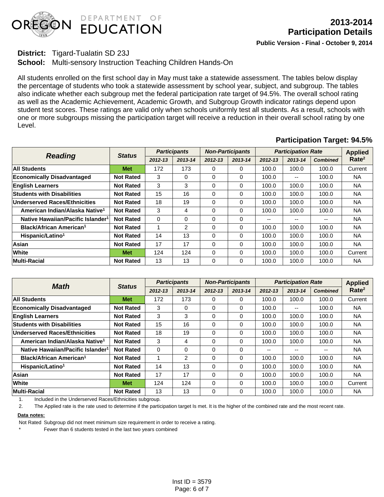

## **District:** Tigard-Tualatin SD 23J

**School:** Multi-sensory Instruction Teaching Children Hands-On

All students enrolled on the first school day in May must take a statewide assessment. The tables below display the percentage of students who took a statewide assessment by school year, subject, and subgroup. The tables also indicate whether each subgroup met the federal participation rate target of 94.5%. The overall school rating as well as the Academic Achievement, Academic Growth, and Subgroup Growth indicator ratings depend upon student test scores. These ratings are valid only when schools uniformly test all students. As a result, schools with one or more subgroups missing the participation target will receive a reduction in their overall school rating by one Level.

# **Participation Target: 94.5%**

| <b>Reading</b>                                | <b>Status</b>    | <b>Participants</b> |                | <b>Non-Participants</b> |         | <b>Participation Rate</b> |                          |                 | <b>Applied</b>    |
|-----------------------------------------------|------------------|---------------------|----------------|-------------------------|---------|---------------------------|--------------------------|-----------------|-------------------|
|                                               |                  | $2012 - 13$         | 2013-14        | $2012 - 13$             | 2013-14 | 2012-13                   | 2013-14                  | <b>Combined</b> | Rate <sup>2</sup> |
| <b>All Students</b>                           | <b>Met</b>       | 172                 | 173            | $\Omega$                | 0       | 100.0                     | 100.0                    | 100.0           | Current           |
| <b>Economically Disadvantaged</b>             | <b>Not Rated</b> | 3                   | 0              | $\Omega$                | 0       | 100.0                     | $\overline{\phantom{m}}$ | 100.0           | <b>NA</b>         |
| <b>English Learners</b>                       | <b>Not Rated</b> | 3                   | 3              | 0                       | 0       | 100.0                     | 100.0                    | 100.0           | <b>NA</b>         |
| <b>Students with Disabilities</b>             | <b>Not Rated</b> | 15                  | 16             | $\Omega$                | 0       | 100.0                     | 100.0                    | 100.0           | <b>NA</b>         |
| Underserved Races/Ethnicities                 | <b>Not Rated</b> | 18                  | 19             | 0                       | 0       | 100.0                     | 100.0                    | 100.0           | NA.               |
| American Indian/Alaska Native <sup>1</sup>    | <b>Not Rated</b> | 3                   | 4              | $\Omega$                | 0       | 100.0                     | 100.0                    | 100.0           | <b>NA</b>         |
| Native Hawaiian/Pacific Islander <sup>1</sup> | <b>Not Rated</b> | $\Omega$            | 0              | $\Omega$                | 0       | --                        | $- -$                    | --              | <b>NA</b>         |
| Black/African American <sup>1</sup>           | <b>Not Rated</b> | 1                   | $\overline{2}$ | 0                       | 0       | 100.0                     | 100.0                    | 100.0           | <b>NA</b>         |
| Hispanic/Latino <sup>1</sup>                  | <b>Not Rated</b> | 14                  | 13             | $\Omega$                | 0       | 100.0                     | 100.0                    | 100.0           | <b>NA</b>         |
| Asian                                         | <b>Not Rated</b> | 17                  | 17             | $\Omega$                | 0       | 100.0                     | 100.0                    | 100.0           | <b>NA</b>         |
| White                                         | <b>Met</b>       | 124                 | 124            | $\Omega$                | 0       | 100.0                     | 100.0                    | 100.0           | Current           |
| <b>Multi-Racial</b>                           | <b>Not Rated</b> | 13                  | 13             | $\Omega$                | 0       | 100.0                     | 100.0                    | 100.0           | NA.               |

| Math                                          | <b>Status</b>    | <b>Participants</b> |                | <b>Non-Participants</b> |          | <b>Participation Rate</b> |         |                 | <b>Applied</b>    |
|-----------------------------------------------|------------------|---------------------|----------------|-------------------------|----------|---------------------------|---------|-----------------|-------------------|
|                                               |                  | 2012-13             | 2013-14        | $2012 - 13$             | 2013-14  | $2012 - 13$               | 2013-14 | <b>Combined</b> | Rate <sup>2</sup> |
| <b>All Students</b>                           | <b>Met</b>       | 172                 | 173            | $\Omega$                | 0        | 100.0                     | 100.0   | 100.0           | Current           |
| <b>Economically Disadvantaged</b>             | <b>Not Rated</b> | 3                   | 0              | 0                       | 0        | 100.0                     | $- -$   | 100.0           | <b>NA</b>         |
| <b>English Learners</b>                       | <b>Not Rated</b> | 3                   | 3              | $\Omega$                | $\Omega$ | 100.0                     | 100.0   | 100.0           | <b>NA</b>         |
| <b>Students with Disabilities</b>             | <b>Not Rated</b> | 15                  | 16             | $\Omega$                | 0        | 100.0                     | 100.0   | 100.0           | <b>NA</b>         |
| Underserved Races/Ethnicities                 | <b>Not Rated</b> | 18                  | 19             | $\Omega$                | 0        | 100.0                     | 100.0   | 100.0           | <b>NA</b>         |
| American Indian/Alaska Native <sup>1</sup>    | <b>Not Rated</b> | 3                   | 4              | $\Omega$                | 0        | 100.0                     | 100.0   | 100.0           | <b>NA</b>         |
| Native Hawaiian/Pacific Islander <sup>1</sup> | <b>Not Rated</b> | $\Omega$            | 0              | $\Omega$                | 0        | --                        | --      | --              | <b>NA</b>         |
| Black/African American <sup>1</sup>           | <b>Not Rated</b> | 1                   | $\overline{2}$ | $\Omega$                | 0        | 100.0                     | 100.0   | 100.0           | <b>NA</b>         |
| Hispanic/Latino <sup>1</sup>                  | <b>Not Rated</b> | 14                  | 13             | $\Omega$                | 0        | 100.0                     | 100.0   | 100.0           | <b>NA</b>         |
| <b>Asian</b>                                  | <b>Not Rated</b> | 17                  | 17             | $\Omega$                | 0        | 100.0                     | 100.0   | 100.0           | <b>NA</b>         |
| White                                         | <b>Met</b>       | 124                 | 124            | $\Omega$                | 0        | 100.0                     | 100.0   | 100.0           | Current           |
| <b>Multi-Racial</b>                           | <b>Not Rated</b> | 13                  | 13             | $\Omega$                | 0        | 100.0                     | 100.0   | 100.0           | <b>NA</b>         |

1. Included in the Underserved Races/Ethnicities subgroup.

2. The Applied rate is the rate used to determine if the participation target Is met. It is the higher of the combined rate and the most recent rate.

#### **Data notes:**

Not Rated Subgroup did not meet minimum size requirement in order to receive a rating.

Fewer than 6 students tested in the last two years combined